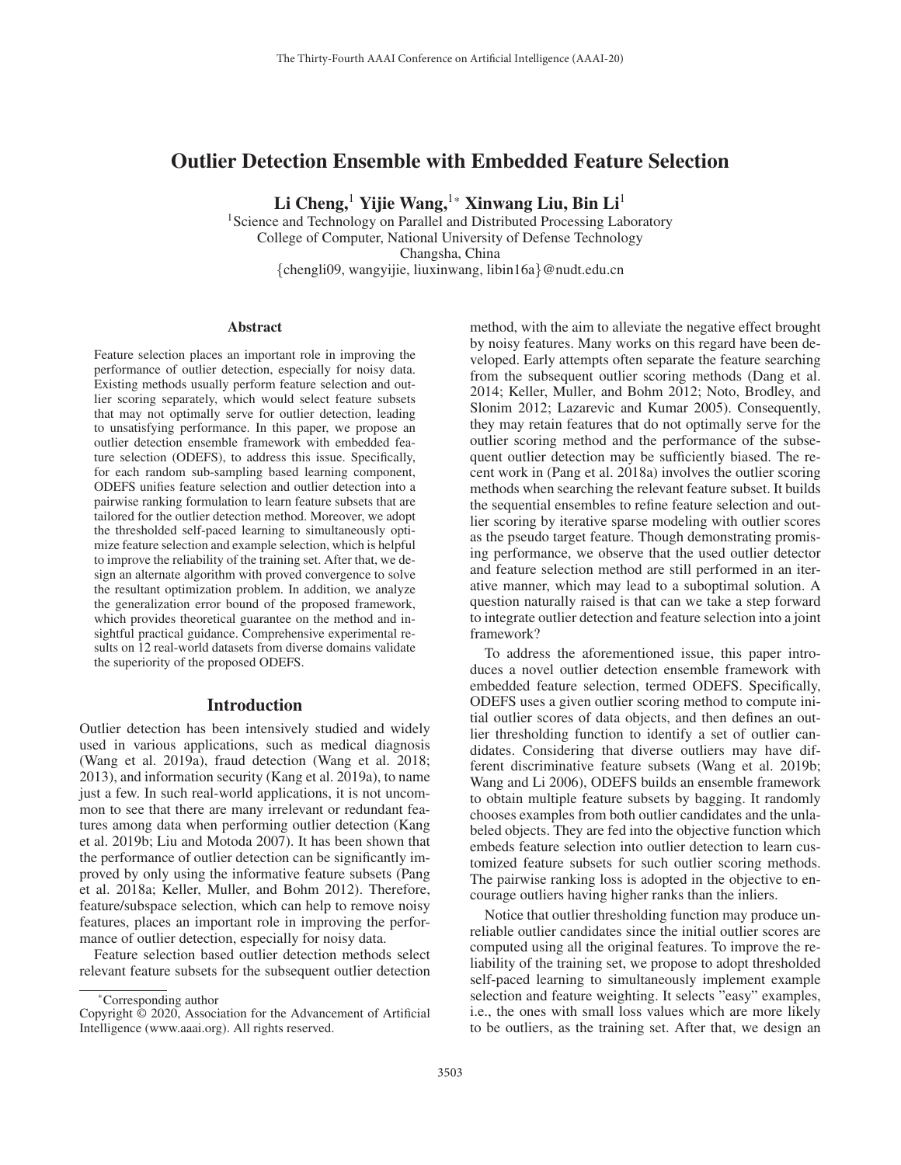# Outlier Detection Ensemble with Embedded Feature Selection

Li Cheng,<sup>1</sup> Yijie Wang,<sup>1</sup> Xinwang Liu, Bin Li<sup>1</sup>

<sup>1</sup>Science and Technology on Parallel and Distributed Processing Laboratory College of Computer, National University of Defense Technology Changsha, China {chengli09, wangyijie, liuxinwang, libin16a}@nudt.edu.cn

#### **Abstract**

Feature selection places an important role in improving the performance of outlier detection, especially for noisy data. Existing methods usually perform feature selection and outlier scoring separately, which would select feature subsets that may not optimally serve for outlier detection, leading to unsatisfying performance. In this paper, we propose an outlier detection ensemble framework with embedded feature selection (ODEFS), to address this issue. Specifically, for each random sub-sampling based learning component, ODEFS unifies feature selection and outlier detection into a pairwise ranking formulation to learn feature subsets that are tailored for the outlier detection method. Moreover, we adopt the thresholded self-paced learning to simultaneously optimize feature selection and example selection, which is helpful to improve the reliability of the training set. After that, we design an alternate algorithm with proved convergence to solve the resultant optimization problem. In addition, we analyze the generalization error bound of the proposed framework, which provides theoretical guarantee on the method and insightful practical guidance. Comprehensive experimental results on 12 real-world datasets from diverse domains validate the superiority of the proposed ODEFS.

### Introduction

Outlier detection has been intensively studied and widely used in various applications, such as medical diagnosis (Wang et al. 2019a), fraud detection (Wang et al. 2018; 2013), and information security (Kang et al. 2019a), to name just a few. In such real-world applications, it is not uncommon to see that there are many irrelevant or redundant features among data when performing outlier detection (Kang et al. 2019b; Liu and Motoda 2007). It has been shown that the performance of outlier detection can be significantly improved by only using the informative feature subsets (Pang et al. 2018a; Keller, Muller, and Bohm 2012). Therefore, feature/subspace selection, which can help to remove noisy features, places an important role in improving the performance of outlier detection, especially for noisy data.

Feature selection based outlier detection methods select relevant feature subsets for the subsequent outlier detection method, with the aim to alleviate the negative effect brought by noisy features. Many works on this regard have been developed. Early attempts often separate the feature searching from the subsequent outlier scoring methods (Dang et al. 2014; Keller, Muller, and Bohm 2012; Noto, Brodley, and Slonim 2012; Lazarevic and Kumar 2005). Consequently, they may retain features that do not optimally serve for the outlier scoring method and the performance of the subsequent outlier detection may be sufficiently biased. The recent work in (Pang et al. 2018a) involves the outlier scoring methods when searching the relevant feature subset. It builds the sequential ensembles to refine feature selection and outlier scoring by iterative sparse modeling with outlier scores as the pseudo target feature. Though demonstrating promising performance, we observe that the used outlier detector and feature selection method are still performed in an iterative manner, which may lead to a suboptimal solution. A question naturally raised is that can we take a step forward to integrate outlier detection and feature selection into a joint framework?

To address the aforementioned issue, this paper introduces a novel outlier detection ensemble framework with embedded feature selection, termed ODEFS. Specifically, ODEFS uses a given outlier scoring method to compute initial outlier scores of data objects, and then defines an outlier thresholding function to identify a set of outlier candidates. Considering that diverse outliers may have different discriminative feature subsets (Wang et al. 2019b; Wang and Li 2006), ODEFS builds an ensemble framework to obtain multiple feature subsets by bagging. It randomly chooses examples from both outlier candidates and the unlabeled objects. They are fed into the objective function which embeds feature selection into outlier detection to learn customized feature subsets for such outlier scoring methods. The pairwise ranking loss is adopted in the objective to encourage outliers having higher ranks than the inliers.

Notice that outlier thresholding function may produce unreliable outlier candidates since the initial outlier scores are computed using all the original features. To improve the reliability of the training set, we propose to adopt thresholded self-paced learning to simultaneously implement example selection and feature weighting. It selects "easy" examples, i.e., the ones with small loss values which are more likely to be outliers, as the training set. After that, we design an

<sup>\*</sup>Corresponding author

Copyright © 2020, Association for the Advancement of Artificial Intelligence (www.aaai.org). All rights reserved.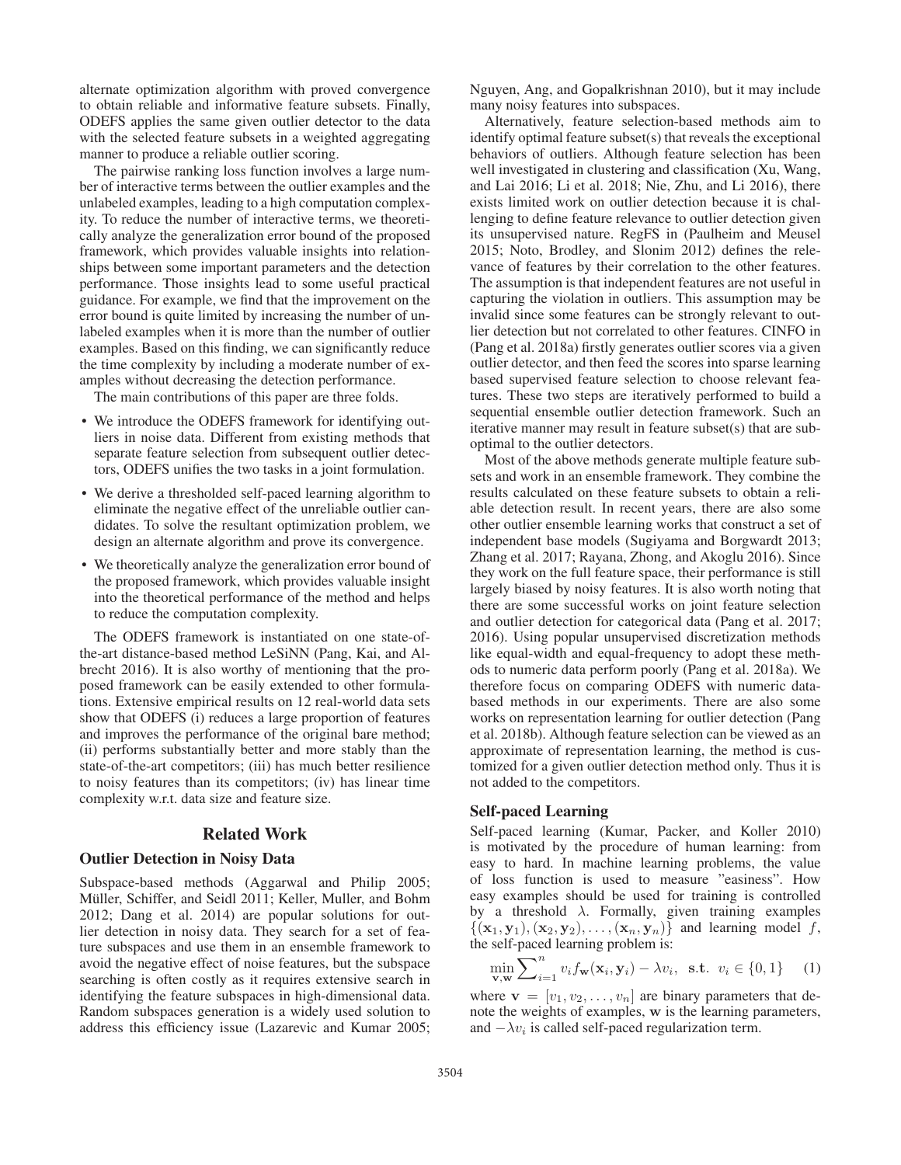alternate optimization algorithm with proved convergence to obtain reliable and informative feature subsets. Finally, ODEFS applies the same given outlier detector to the data with the selected feature subsets in a weighted aggregating manner to produce a reliable outlier scoring.

The pairwise ranking loss function involves a large number of interactive terms between the outlier examples and the unlabeled examples, leading to a high computation complexity. To reduce the number of interactive terms, we theoretically analyze the generalization error bound of the proposed framework, which provides valuable insights into relationships between some important parameters and the detection performance. Those insights lead to some useful practical guidance. For example, we find that the improvement on the error bound is quite limited by increasing the number of unlabeled examples when it is more than the number of outlier examples. Based on this finding, we can significantly reduce the time complexity by including a moderate number of examples without decreasing the detection performance.

The main contributions of this paper are three folds.

- We introduce the ODEFS framework for identifying outliers in noise data. Different from existing methods that separate feature selection from subsequent outlier detectors, ODEFS unifies the two tasks in a joint formulation.
- We derive a thresholded self-paced learning algorithm to eliminate the negative effect of the unreliable outlier candidates. To solve the resultant optimization problem, we design an alternate algorithm and prove its convergence.
- We theoretically analyze the generalization error bound of the proposed framework, which provides valuable insight into the theoretical performance of the method and helps to reduce the computation complexity.

The ODEFS framework is instantiated on one state-ofthe-art distance-based method LeSiNN (Pang, Kai, and Albrecht 2016). It is also worthy of mentioning that the proposed framework can be easily extended to other formulations. Extensive empirical results on 12 real-world data sets show that ODEFS (i) reduces a large proportion of features and improves the performance of the original bare method; (ii) performs substantially better and more stably than the state-of-the-art competitors; (iii) has much better resilience to noisy features than its competitors; (iv) has linear time complexity w.r.t. data size and feature size.

# Related Work

# Outlier Detection in Noisy Data

Subspace-based methods (Aggarwal and Philip 2005; Müller, Schiffer, and Seidl 2011; Keller, Muller, and Bohm 2012; Dang et al. 2014) are popular solutions for outlier detection in noisy data. They search for a set of feature subspaces and use them in an ensemble framework to avoid the negative effect of noise features, but the subspace searching is often costly as it requires extensive search in identifying the feature subspaces in high-dimensional data. Random subspaces generation is a widely used solution to address this efficiency issue (Lazarevic and Kumar 2005;

Nguyen, Ang, and Gopalkrishnan 2010), but it may include many noisy features into subspaces.

Alternatively, feature selection-based methods aim to identify optimal feature subset(s) that reveals the exceptional behaviors of outliers. Although feature selection has been well investigated in clustering and classification (Xu, Wang, and Lai 2016; Li et al. 2018; Nie, Zhu, and Li 2016), there exists limited work on outlier detection because it is challenging to define feature relevance to outlier detection given its unsupervised nature. RegFS in (Paulheim and Meusel 2015; Noto, Brodley, and Slonim 2012) defines the relevance of features by their correlation to the other features. The assumption is that independent features are not useful in capturing the violation in outliers. This assumption may be invalid since some features can be strongly relevant to outlier detection but not correlated to other features. CINFO in (Pang et al. 2018a) firstly generates outlier scores via a given outlier detector, and then feed the scores into sparse learning based supervised feature selection to choose relevant features. These two steps are iteratively performed to build a sequential ensemble outlier detection framework. Such an iterative manner may result in feature subset(s) that are suboptimal to the outlier detectors.

Most of the above methods generate multiple feature subsets and work in an ensemble framework. They combine the results calculated on these feature subsets to obtain a reliable detection result. In recent years, there are also some other outlier ensemble learning works that construct a set of independent base models (Sugiyama and Borgwardt 2013; Zhang et al. 2017; Rayana, Zhong, and Akoglu 2016). Since they work on the full feature space, their performance is still largely biased by noisy features. It is also worth noting that there are some successful works on joint feature selection and outlier detection for categorical data (Pang et al. 2017; 2016). Using popular unsupervised discretization methods like equal-width and equal-frequency to adopt these methods to numeric data perform poorly (Pang et al. 2018a). We therefore focus on comparing ODEFS with numeric databased methods in our experiments. There are also some works on representation learning for outlier detection (Pang et al. 2018b). Although feature selection can be viewed as an approximate of representation learning, the method is customized for a given outlier detection method only. Thus it is not added to the competitors.

#### Self-paced Learning

Self-paced learning (Kumar, Packer, and Koller 2010) is motivated by the procedure of human learning: from easy to hard. In machine learning problems, the value of loss function is used to measure "easiness". How easy examples should be used for training is controlled by a threshold  $\lambda$ . Formally, given training examples  $\{(\mathbf{x}_1, \mathbf{y}_1), (\mathbf{x}_2, \mathbf{y}_2), \ldots, (\mathbf{x}_n, \mathbf{y}_n)\}\$ and learning model f, the self-paced learning problem is: n

$$
\min_{\mathbf{v}, \mathbf{w}} \sum_{i=1}^{n} v_i f_{\mathbf{w}}(\mathbf{x}_i, \mathbf{y}_i) - \lambda v_i, \text{ s.t. } v_i \in \{0, 1\} \quad (1)
$$

where  $\mathbf{v} = [v_1, v_2, \dots, v_n]$  are binary parameters that denote the weights of examples, **w** is the learning parameters, and  $-\lambda v_i$  is called self-paced regularization term.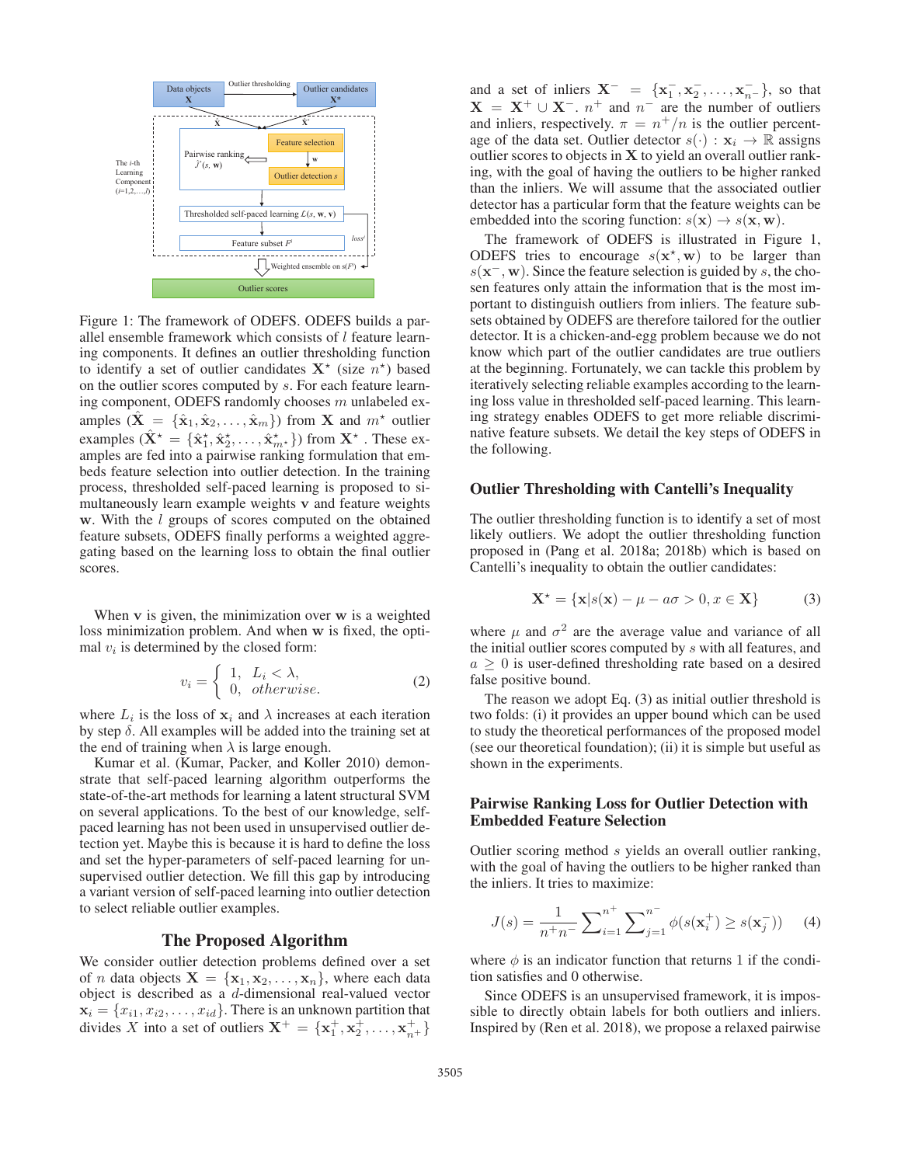

Figure 1: The framework of ODEFS. ODEFS builds a parallel ensemble framework which consists of  $l$  feature learning components. It defines an outlier thresholding function to identify a set of outlier candidates  $X^*$  (size  $n^*$ ) based on the outlier scores computed by s. For each feature learning component, ODEFS randomly chooses m unlabeled examples  $(\hat{\mathbf{X}} = {\hat{\mathbf{x}}_1, \hat{\mathbf{x}}_2, ..., \hat{\mathbf{x}}_m})$  from **X** and  $m^*$  outlier<br>examples  $(\hat{\mathbf{X}}^* = {\hat{\mathbf{x}}^*}, \hat{\mathbf{x}}^* = {\hat{\mathbf{x}}^*}, \hat{\mathbf{x}}^* = {\hat{\mathbf{x}}^*}$ examples  $(\hat{\mathbf{X}}^{\star} = {\hat{\mathbf{x}}_1^{\star}, \hat{\mathbf{x}}_2^{\star}, \dots, \hat{\mathbf{x}}_{m^{\star}}^{\star}}\}$  from  $\mathbf{X}^{\star}$ . These ex-<br>amples are fed into a pairwise ranking formulation that emamples are fed into a pairwise ranking formulation that embeds feature selection into outlier detection. In the training process, thresholded self-paced learning is proposed to simultaneously learn example weights **v** and feature weights **w**. With the l groups of scores computed on the obtained feature subsets, ODEFS finally performs a weighted aggregating based on the learning loss to obtain the final outlier scores.

When **v** is given, the minimization over **w** is a weighted loss minimization problem. And when **w** is fixed, the optimal  $v_i$  is determined by the closed form:

$$
v_i = \begin{cases} 1, & L_i < \lambda, \\ 0, & otherwise. \end{cases} \tag{2}
$$

where  $L_i$  is the loss of  $\mathbf{x}_i$  and  $\lambda$  increases at each iteration by step  $\delta$ . All examples will be added into the training set at the end of training when  $\lambda$  is large enough.

Kumar et al. (Kumar, Packer, and Koller 2010) demonstrate that self-paced learning algorithm outperforms the state-of-the-art methods for learning a latent structural SVM on several applications. To the best of our knowledge, selfpaced learning has not been used in unsupervised outlier detection yet. Maybe this is because it is hard to define the loss and set the hyper-parameters of self-paced learning for unsupervised outlier detection. We fill this gap by introducing a variant version of self-paced learning into outlier detection to select reliable outlier examples.

# The Proposed Algorithm

We consider outlier detection problems defined over a set of *n* data objects  $X = {\mathbf{x}_1, \mathbf{x}_2, \dots, \mathbf{x}_n}$ , where each data object is described as a d-dimensional real-valued vector  $\mathbf{x}_i = \{x_{i1}, x_{i2}, \dots, x_{id}\}.$  There is an unknown partition that divides X into a set of outliers  $X^+ = \{x_1^+, x_2^+, ..., x_{n^+}^+\}$ 

and a set of inliers  $\mathbf{X}^- = {\mathbf{x}_1^- , \mathbf{x}_2^- , \ldots , \mathbf{x}_{n^-}^- }$ , so that  $\mathbf{X} = \mathbf{X}^+ \sqcup \mathbf{X}^-$ ,  $n^+$  and  $n^-$  are the number of outliers  $X = X^+ \cup X^-$ .  $n^+$  and  $n^-$  are the number of outliers and inliers, respectively.  $\pi = n^+/n$  is the outlier percentage of the data set. Outlier detector  $s(\cdot) : \mathbf{x}_i \to \mathbb{R}$  assigns outlier scores to objects in **X** to yield an overall outlier ranking, with the goal of having the outliers to be higher ranked than the inliers. We will assume that the associated outlier detector has a particular form that the feature weights can be embedded into the scoring function:  $s(\mathbf{x}) \rightarrow s(\mathbf{x}, \mathbf{w})$ .

The framework of ODEFS is illustrated in Figure 1, **ODEFS** tries to encourage  $s(x^*, w)$  to be larger than  $s(x^- w)$ . Since the feature selection is guided by s the cho<sup>s</sup>(**x**−, **<sup>w</sup>**). Since the feature selection is guided by <sup>s</sup>, the chosen features only attain the information that is the most important to distinguish outliers from inliers. The feature subsets obtained by ODEFS are therefore tailored for the outlier detector. It is a chicken-and-egg problem because we do not know which part of the outlier candidates are true outliers at the beginning. Fortunately, we can tackle this problem by iteratively selecting reliable examples according to the learning loss value in thresholded self-paced learning. This learning strategy enables ODEFS to get more reliable discriminative feature subsets. We detail the key steps of ODEFS in the following.

#### Outlier Thresholding with Cantelli's Inequality

The outlier thresholding function is to identify a set of most likely outliers. We adopt the outlier thresholding function proposed in (Pang et al. 2018a; 2018b) which is based on Cantelli's inequality to obtain the outlier candidates:

$$
\mathbf{X}^* = \{ \mathbf{x} | s(\mathbf{x}) - \mu - a\sigma > 0, x \in \mathbf{X} \}
$$
 (3)

where  $\mu$  and  $\sigma^2$  are the average value and variance of all the initial outlier scores computed by s with all features, and  $a \geq 0$  is user-defined thresholding rate based on a desired false positive bound.

The reason we adopt Eq. (3) as initial outlier threshold is two folds: (i) it provides an upper bound which can be used to study the theoretical performances of the proposed model (see our theoretical foundation); (ii) it is simple but useful as shown in the experiments.

# Pairwise Ranking Loss for Outlier Detection with Embedded Feature Selection

Outlier scoring method s yields an overall outlier ranking, with the goal of having the outliers to be higher ranked than the inliers. It tries to maximize:

$$
J(s) = \frac{1}{n+n-1} \sum_{i=1}^{n+1} \sum_{j=1}^{n-1} \phi(s(\mathbf{x}_i^+) \ge s(\mathbf{x}_j^-)) \tag{4}
$$

where  $\phi$  is an indicator function that returns 1 if the condition satisfies and 0 otherwise.

Since ODEFS is an unsupervised framework, it is impossible to directly obtain labels for both outliers and inliers. Inspired by (Ren et al. 2018), we propose a relaxed pairwise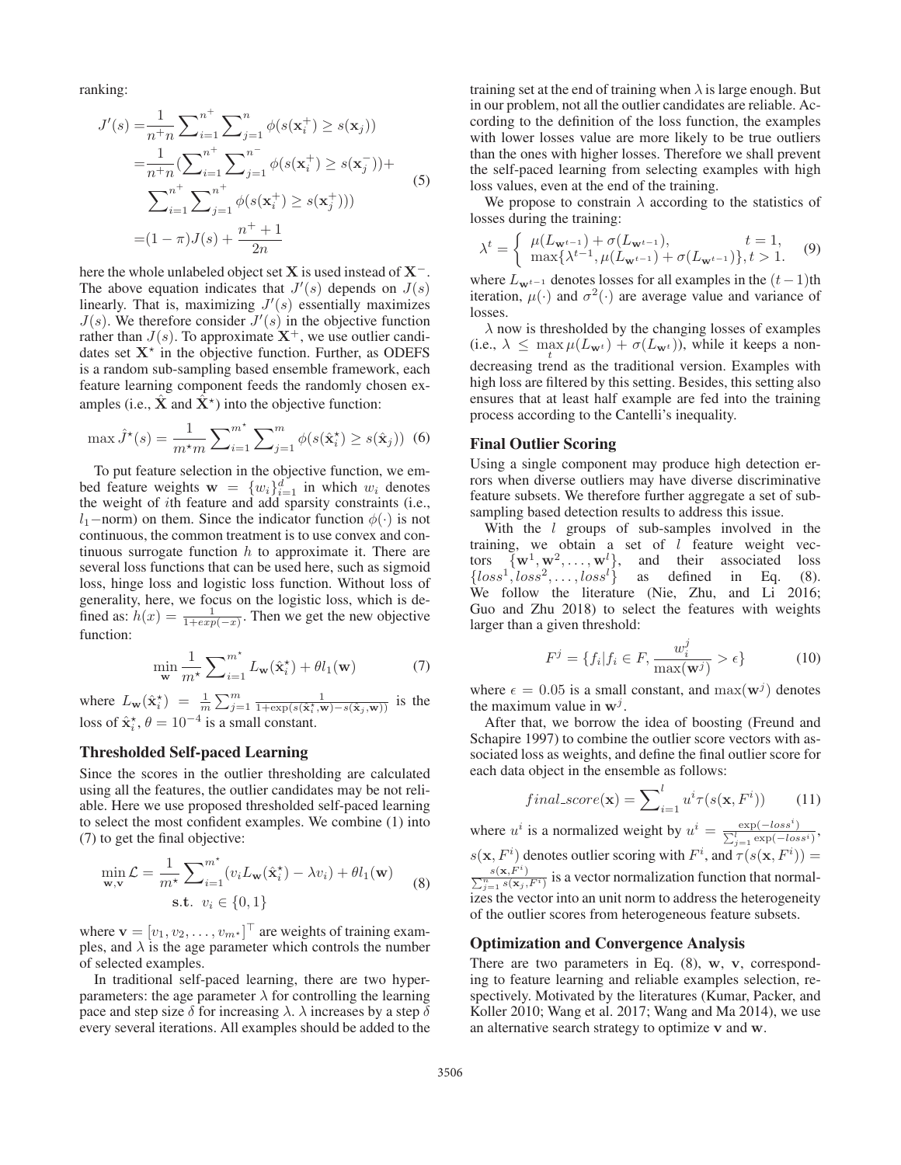ranking:

$$
J'(s) = \frac{1}{n+n} \sum_{i=1}^{n^+} \sum_{j=1}^n \phi(s(\mathbf{x}_i^+) \ge s(\mathbf{x}_j))
$$
  
\n
$$
= \frac{1}{n+n} (\sum_{i=1}^{n^+} \sum_{j=1}^{n^-} \phi(s(\mathbf{x}_i^+) \ge s(\mathbf{x}_j^-)) +
$$
  
\n
$$
\sum_{i=1}^{n^+} \sum_{j=1}^{n^+} \phi(s(\mathbf{x}_i^+) \ge s(\mathbf{x}_j^+)))
$$
  
\n
$$
= (1 - \pi)J(s) + \frac{n^+ + 1}{2n}
$$

here the whole unlabeled object set **X** is used instead of **X**−. The above equation indicates that  $J'(s)$  depends on  $J(s)$ <br>linearly That is maximizing  $J'(s)$  essentially maximizes linearly. That is, maximizing  $J'(s)$  essentially maximizes  $J(s)$ . We therefore consider  $J'(s)$  in the objective function  $J(s)$ . We therefore consider  $J'(s)$  in the objective function rather than  $J(s)$ . To approximate  $X^+$  we use outlier candirather than  $J(s)$ . To approximate  $X^+$ , we use outlier candidates set  $X^*$  in the objective function. Further, as ODEFS is a random sub-sampling based ensemble framework, each feature learning component feeds the randomly chosen examples (i.e.,  $\hat{\mathbf{X}}$  and  $\hat{\mathbf{X}}^*$ ) into the objective function:

$$
\max \hat{J}^{\star}(s) = \frac{1}{m^{\star}m} \sum_{i=1}^{m^{\star}} \sum_{j=1}^{m} \phi(s(\hat{\mathbf{x}}_i^{\star}) \ge s(\hat{\mathbf{x}}_j)) \tag{6}
$$

To put feature selection in the objective function, we embed feature weights  $\mathbf{w} = \{w_i\}_{i=1}^d$  in which  $w_i$  denotes the weight of *i*th feature and add sparsity constraints (i.e. the weight of ith feature and add sparsity constraints (i.e.,  $l_1$ −norm) on them. Since the indicator function  $\phi(\cdot)$  is not continuous, the common treatment is to use convex and continuous surrogate function  $h$  to approximate it. There are several loss functions that can be used here, such as sigmoid loss, hinge loss and logistic loss function. Without loss of generality, here, we focus on the logistic loss, which is defined as:  $h(x) = \frac{1}{1 + exp(-x)}$ . Then we get the new objective function: function:

$$
\min_{\mathbf{w}} \frac{1}{m^{\star}} \sum_{i=1}^{m^{\star}} L_{\mathbf{w}}(\hat{\mathbf{x}}_i^{\star}) + \theta l_1(\mathbf{w}) \tag{7}
$$

where  $L_{\mathbf{w}}(\hat{\mathbf{x}}_i^*) = \frac{1}{m} \sum_{j=1}^m \frac{1}{1 + \exp(s(\hat{\mathbf{x}}_i^*, \mathbf{w}) - s(\hat{\mathbf{x}}_j, \mathbf{w}))}$  is the loss of  $\hat{\mathbf{x}}_i^{\star}, \theta = 10^{-4}$  is a small constant.

# Thresholded Self-paced Learning

Since the scores in the outlier thresholding are calculated using all the features, the outlier candidates may be not reliable. Here we use proposed thresholded self-paced learning to select the most confident examples. We combine (1) into (7) to get the final objective:

$$
\min_{\mathbf{w}, \mathbf{v}} \mathcal{L} = \frac{1}{m^*} \sum_{i=1}^{m^*} (v_i L_{\mathbf{w}}(\hat{\mathbf{x}}_i^*) - \lambda v_i) + \theta l_1(\mathbf{w})
$$
\n
$$
\text{s.t. } v_i \in \{0, 1\}
$$
\n(8)

where  $\mathbf{v} = [v_1, v_2, \dots, v_m \star]$ <br>ples and  $\lambda$  is the age parant  $\vert x \vert$  are weights of training examples, and  $\lambda$  is the age parameter which controls the number of selected examples.

In traditional self-paced learning, there are two hyperparameters: the age parameter  $\lambda$  for controlling the learning pace and step size  $\delta$  for increasing  $\lambda$ .  $\lambda$  increases by a step  $\delta$ every several iterations. All examples should be added to the

training set at the end of training when  $\lambda$  is large enough. But in our problem, not all the outlier candidates are reliable. According to the definition of the loss function, the examples with lower losses value are more likely to be true outliers than the ones with higher losses. Therefore we shall prevent the self-paced learning from selecting examples with high loss values, even at the end of the training.

We propose to constrain  $\lambda$  according to the statistics of losses during the training:

$$
\lambda^{t} = \begin{cases} \mu(L_{\mathbf{w}^{t-1}}) + \sigma(L_{\mathbf{w}^{t-1}}), & t = 1, \\ \max\{\lambda^{t-1}, \mu(L_{\mathbf{w}^{t-1}}) + \sigma(L_{\mathbf{w}^{t-1}})\}, t > 1. \end{cases}
$$
(9)

where  $L_{\mathbf{w}^{t-1}}$  denotes losses for all examples in the  $(t-1)$ th iteration,  $\mu(\cdot)$  and  $\sigma^2(\cdot)$  are average value and variance of losses.

 $\lambda$  now is thresholded by the changing losses of examples  $(i.e., \lambda \leq \max_{t} \mu(L_{\mathbf{w}^t}) + \sigma(L_{\mathbf{w}^t}))$ , while it keeps a nondecreasing trend as the traditional version. Examples with high loss are filtered by this setting. Besides, this setting also ensures that at least half example are fed into the training process according to the Cantelli's inequality.

#### Final Outlier Scoring

Using a single component may produce high detection errors when diverse outliers may have diverse discriminative feature subsets. We therefore further aggregate a set of subsampling based detection results to address this issue.

With the  $l$  groups of sub-samples involved in the training, we obtain a set of  $l$  feature weight vectors  $\{\mathbf w^1, \mathbf w^2, \dots, \mathbf w^l\}$ , and their associated loss  $\{loss^1, loss^2, \ldots, loss^l\}$  as defined in Eq. (8). We follow the literature (Nie, Zhu, and Li 2016; Guo and Zhu 2018) to select the features with weights larger than a given threshold:

$$
F^{j} = \{f_{i}|f_{i} \in F, \frac{w_{i}^{j}}{\max(\mathbf{w}^{j})} > \epsilon\}
$$
 (10)

where  $\epsilon = 0.05$  is a small constant, and max( $\mathbf{w}^j$ ) denotes the maximum value in  $w<sup>j</sup>$ .

After that, we borrow the idea of boosting (Freund and Schapire 1997) to combine the outlier score vectors with associated loss as weights, and define the final outlier score for each data object in the ensemble as follows:

$$
final\_score(\mathbf{x}) = \sum_{i=1}^{l} u^i \tau(s(\mathbf{x}, F^i))
$$
 (11)

where *u<sup>i</sup>* is a normalized weight by  $u^i = \frac{\exp(-loss^i)}{\sum_{j=1}^l \exp(-loss^i)}$ ,  $s(\mathbf{x}, F^i)$  denotes outlier scoring with  $F^i$ , and  $\tau(s(\mathbf{x}, F^i))$ <br> $s(\mathbf{x}, F^i)$  $s(\mathbf{x}, F^i)$  is a vector pormalization function that pormal Σ  $\frac{s(\mathbf{x}, F^i)}{\sum_{j=1}^n s(\mathbf{x}_j, F^i)}$  is a vector normalization function that normalizes the vector into an unit norm to address the heterogeneity of the outlier scores from heterogeneous feature subsets.

#### Optimization and Convergence Analysis

There are two parameters in Eq. (8), **w**, **v**, corresponding to feature learning and reliable examples selection, respectively. Motivated by the literatures (Kumar, Packer, and Koller 2010; Wang et al. 2017; Wang and Ma 2014), we use an alternative search strategy to optimize **v** and **w**.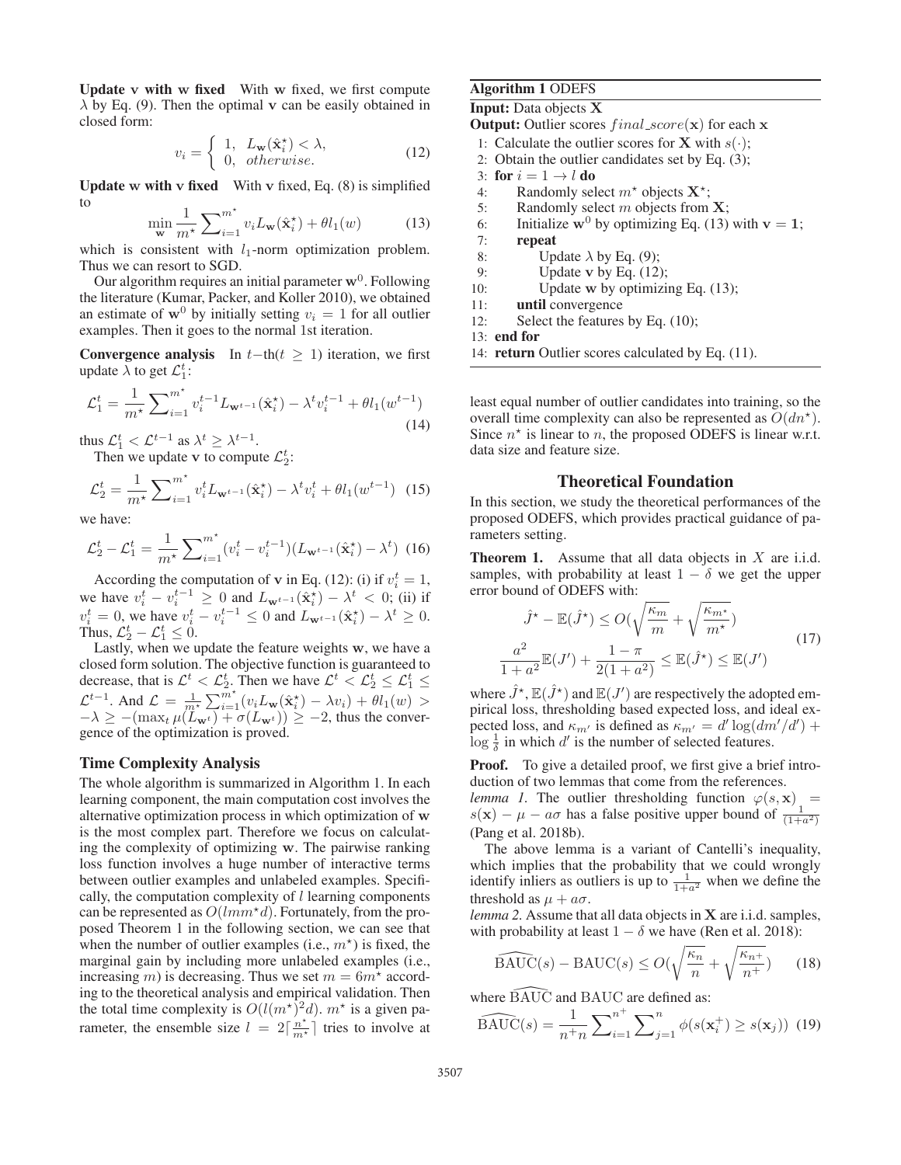Update **v** with **w** fixed With **w** fixed, we first compute  $\lambda$  by Eq. (9). Then the optimal **v** can be easily obtained in closed form:

$$
v_i = \begin{cases} 1, & L_\mathbf{w}(\hat{\mathbf{x}}_i^*) < \lambda, \\ 0, & otherwise. \end{cases}
$$
 (12)

Update **w** with **v** fixed With **v** fixed, Eq. (8) is simplified to

$$
\min_{\mathbf{w}} \frac{1}{m^*} \sum_{i=1}^{m^*} v_i L_{\mathbf{w}}(\hat{\mathbf{x}}_i^*) + \theta l_1(w) \tag{13}
$$

which is consistent with  $l_1$ -norm optimization problem. Thus we can resort to SGD.

Our algorithm requires an initial parameter **w**0. Following the literature (Kumar, Packer, and Koller 2010), we obtained an estimate of  $w^0$  by initially setting  $v_i = 1$  for all outlier examples. Then it goes to the normal 1st iteration.

Convergence analysis In  $t$ −th( $t \ge 1$ ) iteration, we first update  $\lambda$  to get  $\mathcal{L}_1^t$ :

$$
\mathcal{L}_1^t = \frac{1}{m^*} \sum_{i=1}^{m^*} v_i^{t-1} L_{\mathbf{w}^{t-1}}(\hat{\mathbf{x}}_i^*) - \lambda^t v_i^{t-1} + \theta l_1(w^{t-1})
$$
\n(14)

thus  $\mathcal{L}_1^t < \mathcal{L}^{t-1}$  as  $\lambda^t \geq \lambda^{t-1}$ .

Then we update **v** to compute  $\mathcal{L}_2^t$ :

$$
\mathcal{L}_2^t = \frac{1}{m^*} \sum_{i=1}^{m^*} v_i^t L_{\mathbf{w}^{t-1}}(\hat{\mathbf{x}}_i^*) - \lambda^t v_i^t + \theta l_1(w^{t-1}) \tag{15}
$$

we have:

$$
\mathcal{L}_2^t - \mathcal{L}_1^t = \frac{1}{m^*} \sum_{i=1}^{m^*} (v_i^t - v_i^{t-1}) (L_{\mathbf{w}^{t-1}}(\hat{\mathbf{x}}_i^*) - \lambda^t) \tag{16}
$$

According the computation of **v** in Eq. (12): (i) if  $v_i^t = 1$ ,<br>we have  $v_i^t - v_i^{t-1} \ge 0$  and  $L_{\mathbf{w}^{t-1}}(\hat{\mathbf{x}}_i^*) - \lambda^t < 0$ ; (ii) if<br> $v_i^t = 0$ , we have  $v_i^t - v_i^{t-1} \le 0$  and  $L_{\mathbf{w}^{t-1}}(\hat{\mathbf{x}}_i^*) - \lambda^t \ge 0$ .<br>Thu

Lastly, when we update the feature weights **w**, we have a closed form solution. The objective function is guaranteed to decrease, that is  $\mathcal{L}^t < \mathcal{L}_2^t$ . Then we have  $\mathcal{L}^t < \mathcal{L}_2^t \leq \mathcal{L}_1^t \leq$  $\mathcal{L}^{t-1}$ . And  $\mathcal{L} = \frac{1}{m^*} \sum_{i=1}^{m^*} (v_i L_{\mathbf{w}}(\hat{\mathbf{x}}_i^*) - \lambda v_i) + \theta l_1(w) >$ <br>  $-\lambda > -(m x, \mu (l_{i-1}) + \sigma (l_{i-1})) > -2$ , thus the conver- $-\lambda \geq -(\max_t \mu(\mathcal{L}_{\mathbf{w}^t}) + \sigma(\mathcal{L}_{\mathbf{w}^t})) \geq -2$ , thus the conver-<br>gence of the optimization is proved gence of the optimization is proved.

### Time Complexity Analysis

The whole algorithm is summarized in Algorithm 1. In each learning component, the main computation cost involves the alternative optimization process in which optimization of **w** is the most complex part. Therefore we focus on calculating the complexity of optimizing **w**. The pairwise ranking loss function involves a huge number of interactive terms between outlier examples and unlabeled examples. Specifically, the computation complexity of  $l$  learning components can be represented as  $O(lmm^*d)$ . Fortunately, from the pro-<br>posed Theorem 1 in the following section we can see that posed Theorem 1 in the following section, we can see that when the number of outlier examples (i.e.,  $m^*$ ) is fixed, the marginal gain by including more unlabeled examples (i.e., increasing m) is decreasing. Thus we set  $m = 6m^*$  accord-<br>ing to the theoretical analysis and empirical validation. Then ing to the theoretical analysis and empirical validation. Then the total time complexity is  $O(l(m^*)^2d)$ .  $m^*$  is a given parameter, the ansamble size  $l = 2^{n^*}$ . tries to involve at rameter, the ensemble size  $l = 2\lceil \frac{n^*}{m^*} \rceil$  tries to involve at

# Algorithm 1 ODEFS

#### Input: Data objects **X**

**Output:** Outlier scores  $final\_score(\mathbf{x})$  for each  $\mathbf{x}$ 

- 1: Calculate the outlier scores for **X** with  $s(\cdot)$ ;
- 2: Obtain the outlier candidates set by Eq. (3);
- 3: for  $i = 1 \rightarrow l$  do<br>4: Randomly sel
- 4: Randomly select  $m^*$  objects  $\mathbf{X}^*$ ;
- 5: Randomly select m objects from **X**;
- 6: Initialize  $\mathbf{w}^0$  by optimizing Eq. (13) with  $\mathbf{v} = \mathbf{1}$ ;<br>7: **repeat**
- repeat
	- 8: Update  $\lambda$  by Eq. (9);
- 9: Update **v** by Eq. (12);
- 10: Update **w** by optimizing Eq. (13);
- 11: until convergence
- 12: Select the features by Eq. (10);

13: end for

14: return Outlier scores calculated by Eq. (11).

least equal number of outlier candidates into training, so the overall time complexity can also be represented as  $O(dn^{*})$ .<br>Since  $n^{*}$  is linear to n the proposed ODEFS is linear w.r.t. Since  $n^*$  is linear to n, the proposed ODEFS is linear w.r.t. data size and feature size.

# Theoretical Foundation

In this section, we study the theoretical performances of the proposed ODEFS, which provides practical guidance of parameters setting.

**Theorem 1.** Assume that all data objects in  $X$  are i.i.d. samples, with probability at least  $1 - \delta$  we get the upper error bound of ODEFS with:

$$
\hat{J}^* - \mathbb{E}(\hat{J}^*) \le O(\sqrt{\frac{\kappa_m}{m}} + \sqrt{\frac{\kappa_{m^*}}{m^*}})
$$
\n
$$
\frac{a^2}{1 + a^2} \mathbb{E}(J') + \frac{1 - \pi}{2(1 + a^2)} \le \mathbb{E}(\hat{J}^*) \le \mathbb{E}(J')
$$
\n
$$
\hat{J}^* = (\hat{J}^*)^* \quad \text{or} \quad (\hat{J}^*)^* \quad \text{or} \quad (\hat{J}^*)^* \quad \text{or} \quad (\hat{J}^*)^* \quad \text{or} \quad (\hat{J}^*)^* \quad \text{or} \quad (\hat{J}^*)^* \quad \text{or} \quad (\hat{J}^*)^* \quad \text{or} \quad (\hat{J}^*)^* \quad \text{or} \quad (\hat{J}^*)^* \quad \text{or} \quad (\hat{J}^*)^* \quad \text{or} \quad (\hat{J}^*)^* \quad \text{or} \quad (\hat{J}^*)^* \quad \text{or} \quad (\hat{J}^*)^* \quad \text{or} \quad (\hat{J}^*)^* \quad \text{or} \quad (\hat{J}^*)^* \quad \text{or} \quad (\hat{J}^*)^* \quad \text{or} \quad (\hat{J}^*)^* \quad \text{or} \quad (\hat{J}^*)^* \quad \text{or} \quad (\hat{J}^*)^* \quad \text{or} \quad (\hat{J}^*)^* \quad \text{or} \quad (\hat{J}^*)^* \quad \text{or} \quad (\hat{J}^*)^* \quad \text{or} \quad (\hat{J}^*)^* \quad \text{or} \quad (\hat{J}^*)^* \quad \text{or} \quad (\hat{J}^*)^* \quad \text{or} \quad (\hat{J}^*)^* \quad \text{or} \quad (\hat{J}^*)^* \quad \text{or} \quad (\hat{J}^*)^* \quad \text{or} \quad (\hat{J}^*)^* \quad \text{or} \quad (\hat{J}^*)^* \quad \text{or} \quad (\hat{J}^*)^* \quad \text{or} \quad (\hat{J}^*)^* \quad \text{or} \quad (\hat{J}^*)^* \quad \text{or} \quad (\hat{J}^*)^* \quad \text{or} \quad (\hat{J}^*)
$$

where  $\hat{J}^*, \mathbb{E}(\hat{J}^*)$  and  $\mathbb{E}(J')$  are respectively the adopted em-<br>pirical loss, thresholding based expected loss, and ideal expirical loss, thresholding based expected loss, and ideal expected loss, and  $\kappa_{m'}$  is defined as  $\kappa_{m'}$  $= d' \log (dm'/d') +$ <br>ted features  $\log \frac{1}{\delta}$  in which d' is the number of selected features.

**Proof.** To give a detailed proof, we first give a brief introduction of two lemmas that come from the references.

*lemma 1.* The outlier thresholding function  $\varphi(s, \mathbf{x})$  =  $s(\mathbf{x}) - \mu - a\sigma$  has a false positive upper bound of  $\frac{1}{(1+a^2)}$ (Pang et al. 2018b).

The above lemma is a variant of Cantelli's inequality, which implies that the probability that we could wrongly identify indicts as outliers is up to  $\frac{1}{1+a^2}$  when we define the threshold as  $\mu + a\sigma$ .

*lemma 2.* Assume that all data objects in **X** are i.i.d. samples, with probability at least  $1 - \delta$  we have (Ren et al. 2018):

$$
\widehat{\text{BAUC}}(s) - \text{BAUC}(s) \le O(\sqrt{\frac{\kappa_n}{n}} + \sqrt{\frac{\kappa_{n+}}{n^+}}) \tag{18}
$$

where  $\widehat{\text{BAUC}}$  and BAUC are defined as:

$$
\widehat{\text{BAUC}}(s) = \frac{1}{n+n} \sum_{i=1}^{n+} \sum_{j=1}^{n} \phi(s(\mathbf{x}_i^+) \ge s(\mathbf{x}_j)) \tag{19}
$$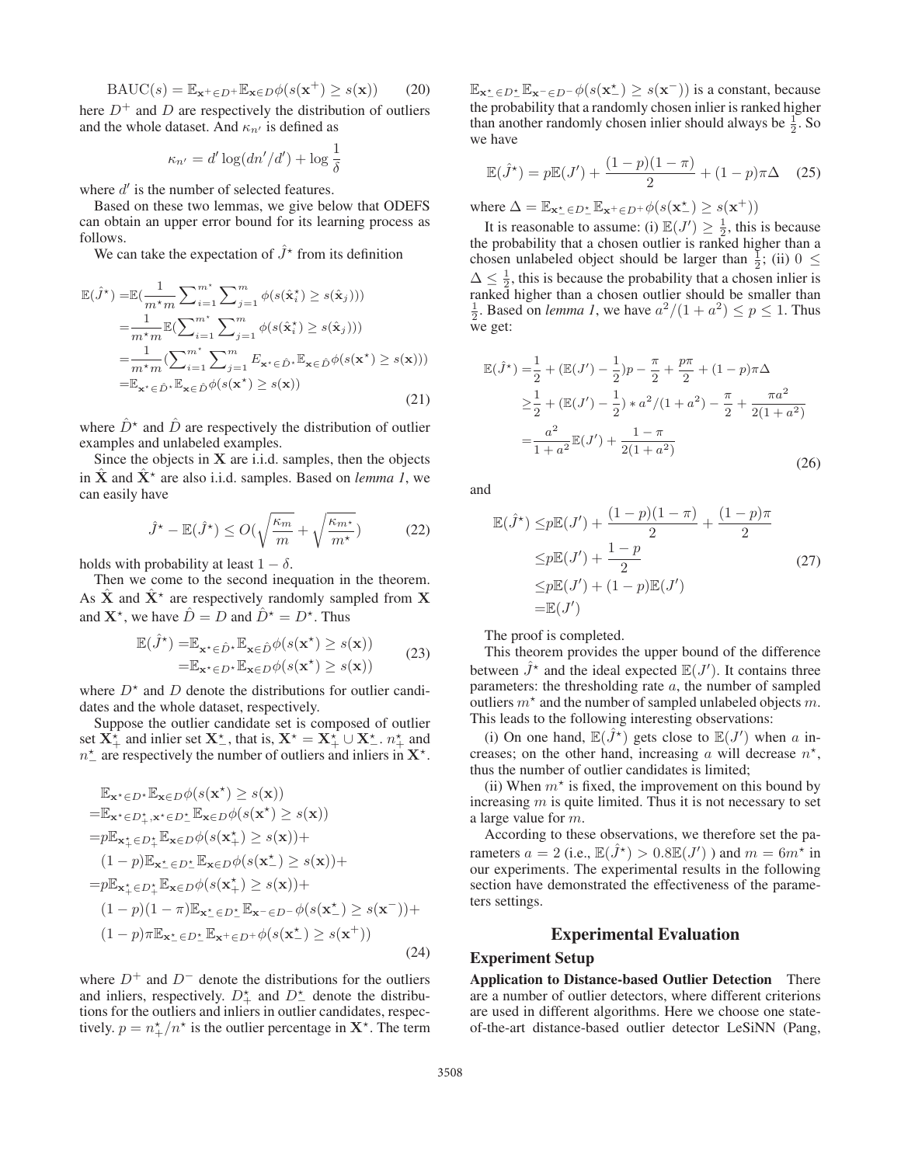$\text{BAUC}(s) = \mathbb{E}_{\mathbf{x}^+ \in D^+} \mathbb{E}_{\mathbf{x} \in D} \phi(s(\mathbf{x}^+) \geq s(\mathbf{x}))$  (20)

here  $D^+$  and D are respectively the distribution of outliers and the whole dataset. And  $\kappa_{n'}$  is defined as

$$
\kappa_{n'} = d' \log(dn'/d') + \log \frac{1}{\delta}
$$

where  $d'$  is the number of selected features.

Based on these two lemmas, we give below that ODEFS can obtain an upper error bound for its learning process as follows.

We can take the expectation of  $\hat{J}^*$  from its definition

$$
\mathbb{E}(\hat{J}^*) = \mathbb{E}(\frac{1}{m^*\,m}\sum_{i=1}^{m^*}\sum_{j=1}^m \phi(s(\hat{\mathbf{x}}_i^*) \ge s(\hat{\mathbf{x}}_j)))
$$
\n
$$
= \frac{1}{m^*\,m}\mathbb{E}(\sum_{i=1}^{m^*}\sum_{j=1}^m \phi(s(\hat{\mathbf{x}}_i^*) \ge s(\hat{\mathbf{x}}_j)))
$$
\n
$$
= \frac{1}{m^*\,m}\left(\sum_{i=1}^{m^*}\sum_{j=1}^m E_{\mathbf{x}^*\in\hat{D}^*}\mathbb{E}_{\mathbf{x}\in\hat{D}}\phi(s(\mathbf{x}^*) \ge s(\mathbf{x}))\right)
$$
\n
$$
= \mathbb{E}_{\mathbf{x}^*\in\hat{D}^*}\mathbb{E}_{\mathbf{x}\in\hat{D}}\phi(s(\mathbf{x}^*) \ge s(\mathbf{x}))
$$
\n(21)

where  $\hat{D}^*$  and  $\hat{D}$  are respectively the distribution of outlier examples and unlabeled examples.

Since the objects in **X** are i.i.d. samples, then the objects in  $\hat{\mathbf{X}}$  and  $\hat{\mathbf{X}}^*$  are also i.i.d. samples. Based on *lemma 1*, we can easily have

$$
\hat{J}^{\star} - \mathbb{E}(\hat{J}^{\star}) \le O(\sqrt{\frac{\kappa_m}{m}} + \sqrt{\frac{\kappa_{m^{\star}}}{m^{\star}}})
$$
(22)

holds with probability at least  $1 - \delta$ .

Then we come to the second inequation in the theorem. As  $\hat{\mathbf{X}}$  and  $\hat{\mathbf{X}}^*$  are respectively randomly sampled from **X** and  $\mathbf{X}^*$ , we have  $\hat{D} = D$  and  $\hat{D}^* = D^*$ . Thus

$$
\mathbb{E}(\hat{J}^*) = \mathbb{E}_{\mathbf{x}^* \in \hat{D}^*} \mathbb{E}_{\mathbf{x} \in \hat{D}} \phi(s(\mathbf{x}^*) \ge s(\mathbf{x})) \n= \mathbb{E}_{\mathbf{x}^* \in D^*} \mathbb{E}_{\mathbf{x} \in D} \phi(s(\mathbf{x}^*) \ge s(\mathbf{x}))
$$
\n(23)

where  $D^*$  and D denote the distributions for outlier candidates and the whole dataset, respectively.

Suppose the outlier candidate set is composed of outlier set  $\mathbf{X}_{+}^{*}$  and inlier set  $\mathbf{X}_{-}^{*}$ , that is,  $\mathbf{X}^{*} = \mathbf{X}_{+}^{*} \cup \mathbf{X}_{-}^{*}$ .  $n_{+}^{*}$  and  $n_{+}^{*}$  are respectively the number of outliers and inliers in  $\mathbf{X}_{-}^{*}$  $n_{-}^{*}$  are respectively the number of outliers and inliers in **X**<sup>\*</sup>.

$$
\mathbb{E}_{\mathbf{x}^* \in D^*} \mathbb{E}_{\mathbf{x} \in D} \phi(s(\mathbf{x}^*) \ge s(\mathbf{x}))
$$
\n
$$
= \mathbb{E}_{\mathbf{x}^* \in D^*_+, \mathbf{x}^* \in D^*_-} \mathbb{E}_{\mathbf{x} \in D} \phi(s(\mathbf{x}^*) \ge s(\mathbf{x}))
$$
\n
$$
= p \mathbb{E}_{\mathbf{x}^* \in D^*_+} \mathbb{E}_{\mathbf{x} \in D} \phi(s(\mathbf{x}^*) \ge s(\mathbf{x})) +
$$
\n
$$
(1-p) \mathbb{E}_{\mathbf{x}^* \in D^*_-} \mathbb{E}_{\mathbf{x} \in D} \phi(s(\mathbf{x}^*) \ge s(\mathbf{x})) +
$$
\n
$$
= p \mathbb{E}_{\mathbf{x}^* \in D^*_+} \mathbb{E}_{\mathbf{x} \in D} \phi(s(\mathbf{x}^*) \ge s(\mathbf{x})) +
$$
\n
$$
(1-p)(1-\pi) \mathbb{E}_{\mathbf{x}^* \in D^*_-} \mathbb{E}_{\mathbf{x}^* \in D^*} \phi(s(\mathbf{x}^*) \ge s(\mathbf{x}^*)) +
$$
\n
$$
(1-p)\pi \mathbb{E}_{\mathbf{x}^* \in D^*_-} \mathbb{E}_{\mathbf{x}^* \in D^+} \phi(s(\mathbf{x}^*) \ge s(\mathbf{x}^*))
$$
\n
$$
(24)
$$

where  $D^+$  and  $D^-$  denote the distributions for the outliers and inliers, respectively.  $D_{+}^{\star}$  and  $D_{-}^{\star}$  denote the distributions for the outliers and inliers in outlier candidates, respectively.  $p = n^*_{+}/n^*$  is the outlier percentage in  $\mathbf{X}^*$ . The term

 $\mathbb{E}_{\mathbf{x}^{\star}_{-} \in D_{-}^{\star}}$  $\frac{1}{\epsilon} \mathbb{E}_{\mathbf{x}^- \in D^-} \phi(s(\mathbf{x}^+)) \geq s(\mathbf{x}^-)$  is a constant, because the probability that a randomly chosen inlier is ranked higher than another randomly chosen inlier should always be  $\frac{1}{2}$ . So we have

$$
\mathbb{E}(\hat{J}^{\star}) = p\mathbb{E}(J') + \frac{(1-p)(1-\pi)}{2} + (1-p)\pi\Delta \quad (25)
$$

where  $\Delta = \mathbb{E}_{\mathbf{x}_{\perp}^{\star}}$  −∈D*-*  $\frac{1}{\Sigma} \mathbb{E}_{\mathbf{x}^+ \in D^+} \phi(s(\mathbf{x}^*) \geq s(\mathbf{x}^+))$ 

It is reasonable to assume: (i)  $\mathbb{E}(J') \geq \frac{1}{2}$ , this is because<br>reprobability that a chosen outlier is ranked higher than a the probability that a chosen outlier is ranked higher than a chosen unlabeled object should be larger than  $\frac{1}{2}$ ; (ii)  $0 \le \Delta < 1$  this is because the probability that a chosen in lier is  $\Delta \leq \frac{1}{2}$ , this is because the probability that a chosen inlier is ranked higher than a chosen outlier should be smaller than ranked higher than a chosen outlier should be smaller than  $\frac{1}{2}$ . Based on *lemma 1*, we have  $a^2/(1 + a^2) \le p \le 1$ . Thus we get: we get:

$$
\mathbb{E}(\hat{J}^*) = \frac{1}{2} + (\mathbb{E}(J') - \frac{1}{2})p - \frac{\pi}{2} + \frac{p\pi}{2} + (1-p)\pi\Delta
$$
  
\n
$$
\geq \frac{1}{2} + (\mathbb{E}(J') - \frac{1}{2}) * a^2/(1+a^2) - \frac{\pi}{2} + \frac{\pi a^2}{2(1+a^2)}
$$
  
\n
$$
= \frac{a^2}{1+a^2} \mathbb{E}(J') + \frac{1-\pi}{2(1+a^2)}
$$
\n(26)

and

$$
\mathbb{E}(\hat{J}^*) \leq p\mathbb{E}(J') + \frac{(1-p)(1-\pi)}{2} + \frac{(1-p)\pi}{2}
$$
  
\n
$$
\leq p\mathbb{E}(J') + \frac{1-p}{2}
$$
  
\n
$$
\leq p\mathbb{E}(J') + (1-p)\mathbb{E}(J')
$$
  
\n
$$
= \mathbb{E}(J')
$$
 (27)

The proof is completed.

This theorem provides the upper bound of the difference between  $\hat{J}^*$  and the ideal expected  $\mathbb{E}(J')$ . It contains three parameters: the thresholding rate a the number of sampled parameters: the thresholding rate  $a$ , the number of sampled outliers  $m^*$  and the number of sampled unlabeled objects m. This leads to the following interesting observations:

(i) On one hand,  $\mathbb{E}(\hat{J}^*)$  gets close to  $\mathbb{E}(J')$  when a in-<br>pases: on the other hand, increasing a will decrease  $n^*$ creases; on the other hand, increasing a will decrease  $n^*$ , thus the number of outlier candidates is limited;

(ii) When  $m^*$  is fixed, the improvement on this bound by increasing  $m$  is quite limited. Thus it is not necessary to set a large value for m.

According to these observations, we therefore set the parameters  $a = 2$  (i.e.,  $\mathbb{E}(\hat{J}^*) > 0.8\mathbb{E}(J')$ ) and  $m = 6m^*$  in our experiments. The experimental results in the following our experiments. The experimental results in the following section have demonstrated the effectiveness of the parameters settings.

#### Experimental Evaluation

# Experiment Setup

Application to Distance-based Outlier Detection There are a number of outlier detectors, where different criterions are used in different algorithms. Here we choose one stateof-the-art distance-based outlier detector LeSiNN (Pang,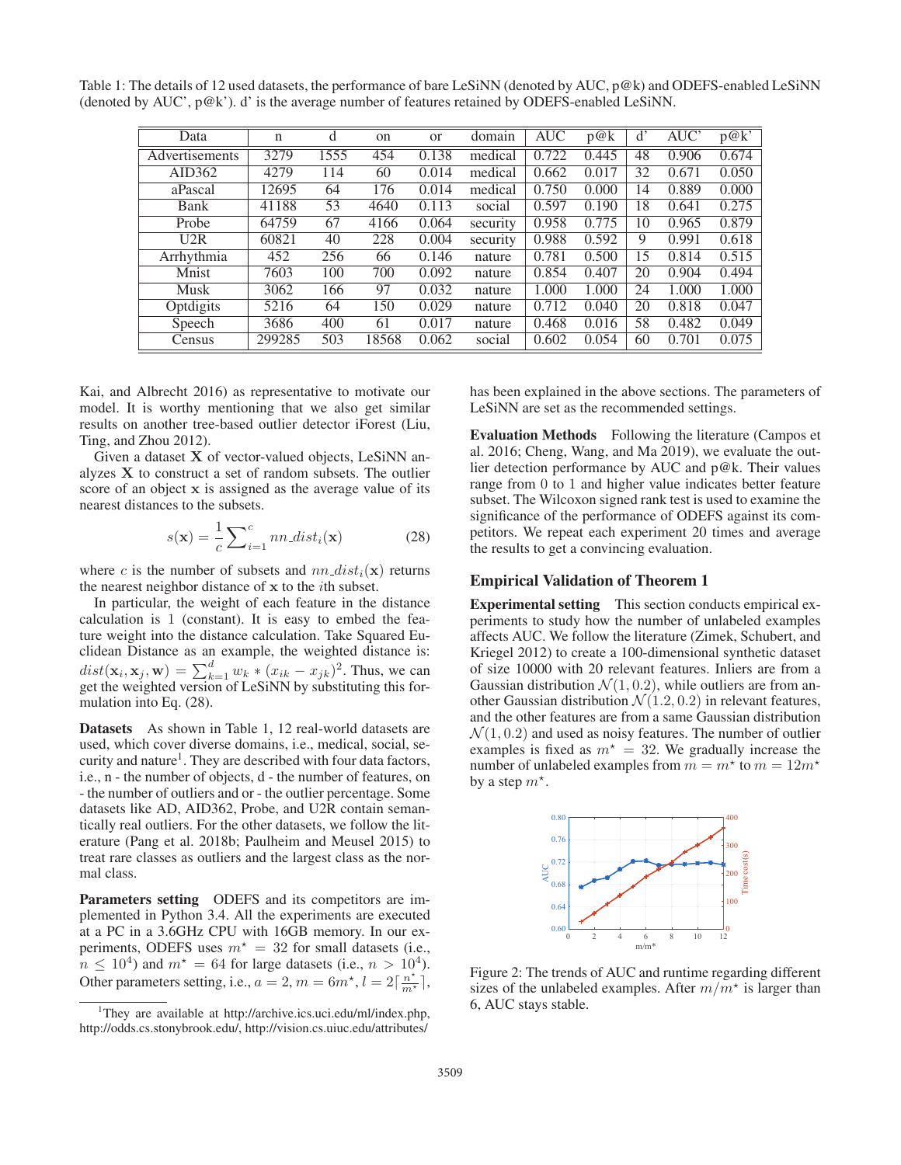Table 1: The details of 12 used datasets, the performance of bare LeSiNN (denoted by AUC, p@k) and ODEFS-enabled LeSiNN (denoted by AUC', p@k'). d' is the average number of features retained by ODEFS-enabled LeSiNN.

| Data                  | n      | d    | <sub>on</sub> | <b>or</b> | domain   | <b>AUC</b> | p@k   | d' | AUC'  | p@k'  |
|-----------------------|--------|------|---------------|-----------|----------|------------|-------|----|-------|-------|
| <b>Advertisements</b> | 3279   | 1555 | 454           | 0.138     | medical  | 0.722      | 0.445 | 48 | 0.906 | 0.674 |
| AID362                | 4279   | 114  | 60            | 0.014     | medical  | 0.662      | 0.017 | 32 | 0.671 | 0.050 |
| aPascal               | 12695  | 64   | 176           | 0.014     | medical  | 0.750      | 0.000 | 14 | 0.889 | 0.000 |
| Bank                  | 41188  | 53   | 4640          | 0.113     | social   | 0.597      | 0.190 | 18 | 0.641 | 0.275 |
| Probe                 | 64759  | 67   | 4166          | 0.064     | security | 0.958      | 0.775 | 10 | 0.965 | 0.879 |
| U2R                   | 60821  | 40   | 228           | 0.004     | security | 0.988      | 0.592 | 9  | 0.991 | 0.618 |
| Arrhythmia            | 452    | 256  | 66            | 0.146     | nature   | 0.781      | 0.500 | 15 | 0.814 | 0.515 |
| Mnist                 | 7603   | 100  | 700           | 0.092     | nature   | 0.854      | 0.407 | 20 | 0.904 | 0.494 |
| <b>Musk</b>           | 3062   | 166  | 97            | 0.032     | nature   | 1.000      | 1.000 | 24 | 1.000 | 1.000 |
| Optdigits             | 5216   | 64   | 150           | 0.029     | nature   | 0.712      | 0.040 | 20 | 0.818 | 0.047 |
| Speech                | 3686   | 400  | 61            | 0.017     | nature   | 0.468      | 0.016 | 58 | 0.482 | 0.049 |
| Census                | 299285 | 503  | 18568         | 0.062     | social   | 0.602      | 0.054 | 60 | 0.701 | 0.075 |

Kai, and Albrecht 2016) as representative to motivate our model. It is worthy mentioning that we also get similar results on another tree-based outlier detector iForest (Liu, Ting, and Zhou 2012).

Given a dataset **X** of vector-valued objects, LeSiNN analyzes **X** to construct a set of random subsets. The outlier score of an object **x** is assigned as the average value of its nearest distances to the subsets.

$$
s(\mathbf{x}) = \frac{1}{c} \sum_{i=1}^{c} n n \cdot dist_i(\mathbf{x})
$$
 (28)

where c is the number of subsets and  $nn\_dist_i(\mathbf{x})$  returns the nearest neighbor distance of **x** to the ith subset.

In particular, the weight of each feature in the distance calculation is 1 (constant). It is easy to embed the feature weight into the distance calculation. Take Squared Euclidean Distance as an example, the weighted distance is:  $dist(\mathbf{x}_i, \mathbf{x}_j, \mathbf{w}) = \sum_{k=1}^d w_k * (x_{ik} - x_{jk})^2$ . Thus, we can get the weighted version of LeSiNN by substituting this formulation into Eq. (28).

Datasets As shown in Table 1, 12 real-world datasets are used, which cover diverse domains, i.e., medical, social, security and nature<sup>1</sup>. They are described with four data factors, i.e., n - the number of objects, d - the number of features, on - the number of outliers and or - the outlier percentage. Some datasets like AD, AID362, Probe, and U2R contain semantically real outliers. For the other datasets, we follow the literature (Pang et al. 2018b; Paulheim and Meusel 2015) to treat rare classes as outliers and the largest class as the normal class.

Parameters setting ODEFS and its competitors are implemented in Python 3.4. All the experiments are executed at a PC in a 3.6GHz CPU with 16GB memory. In our experiments, ODEFS uses  $m^* = 32$  for small datasets (i.e.,  $n \le 10^4$ ) and  $m^* = 64$  for large datasets (i.e.  $n > 10^4$ )  $n \leq 10^4$  and  $m^* = 64$  for large datasets (i.e.,  $n > 10^4$ ).<br>Other parameters setting i.e.  $a - 2$ ,  $m - 6m^* l - 2l^* l^*$ . Other parameters setting, i.e.,  $a = 2$ ,  $m = 6m^*$ ,  $l = 2\lceil \frac{n^*}{m^*} \rceil$ ,

has been explained in the above sections. The parameters of LeSiNN are set as the recommended settings.

Evaluation Methods Following the literature (Campos et al. 2016; Cheng, Wang, and Ma 2019), we evaluate the outlier detection performance by AUC and p@k. Their values range from 0 to 1 and higher value indicates better feature subset. The Wilcoxon signed rank test is used to examine the significance of the performance of ODEFS against its competitors. We repeat each experiment 20 times and average the results to get a convincing evaluation.

## Empirical Validation of Theorem 1

Experimental setting This section conducts empirical experiments to study how the number of unlabeled examples affects AUC. We follow the literature (Zimek, Schubert, and Kriegel 2012) to create a 100-dimensional synthetic dataset of size 10000 with 20 relevant features. Inliers are from a Gaussian distribution  $\mathcal{N}(1, 0.2)$ , while outliers are from another Gaussian distribution  $\mathcal{N}(1.2, 0.2)$  in relevant features, and the other features are from a same Gaussian distribution  $\mathcal{N}(1, 0.2)$  and used as noisy features. The number of outlier examples is fixed as  $m^* = 32$ . We gradually increase the number of unlabeled examples from  $m = m^*$  to  $m = 12m^*$ number of unlabeled examples from  $m = m^*$  to  $m = 12m^*$ <br>by a step  $m^*$ by a step  $m^*$ .



Figure 2: The trends of AUC and runtime regarding different sizes of the unlabeled examples. After  $m/m^*$  is larger than 6, AUC stays stable.

<sup>&</sup>lt;sup>1</sup>They are available at http://archive.ics.uci.edu/ml/index.php, http://odds.cs.stonybrook.edu/, http://vision.cs.uiuc.edu/attributes/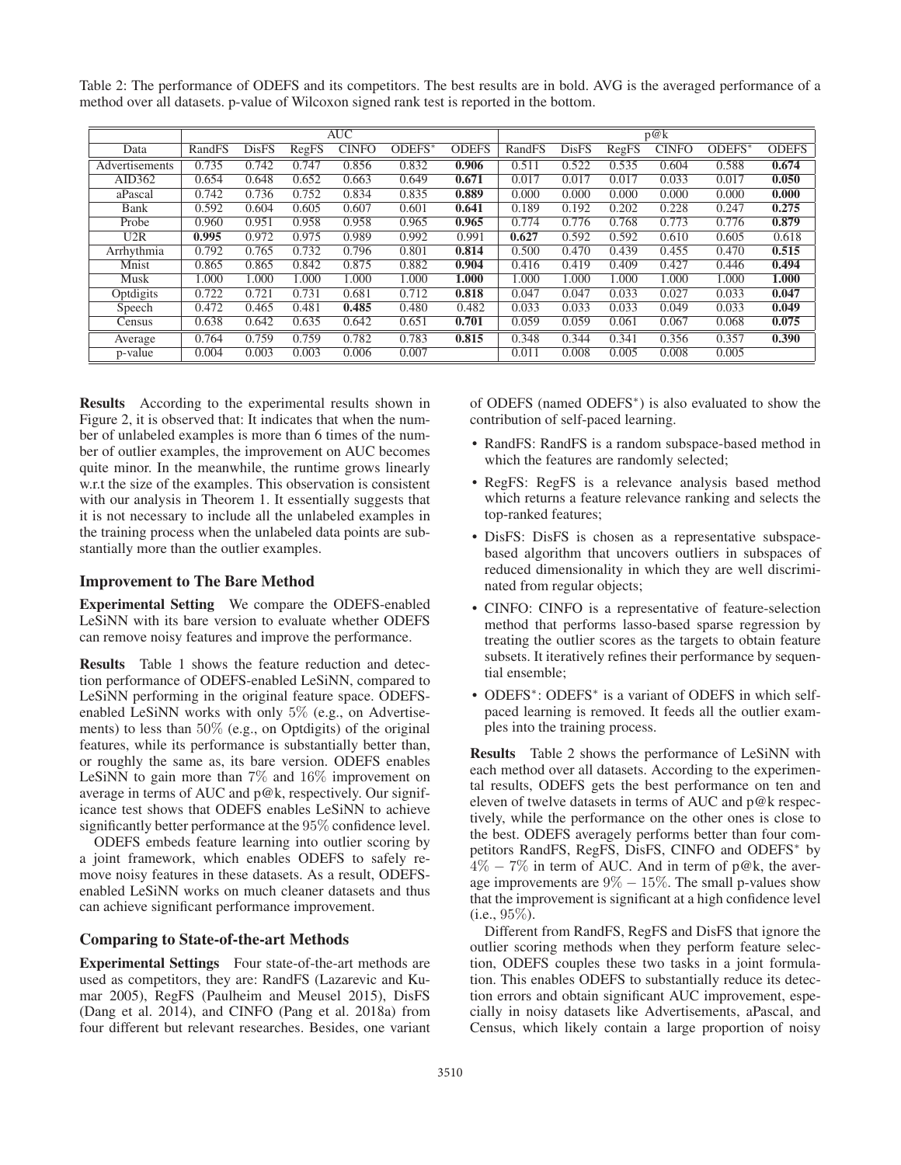Table 2: The performance of ODEFS and its competitors. The best results are in bold. AVG is the averaged performance of a method over all datasets. p-value of Wilcoxon signed rank test is reported in the bottom.

|                | <b>AUC</b> |              |       |              |        |              | p@k    |       |              |              |        |              |  |
|----------------|------------|--------------|-------|--------------|--------|--------------|--------|-------|--------------|--------------|--------|--------------|--|
| Data           | RandFS     | <b>DisFS</b> | RegFS | <b>CINFO</b> | ODEFS* | <b>ODEFS</b> | RandFS | DisFS | <b>RegFS</b> | <b>CINFO</b> | ODEFS* | <b>ODEFS</b> |  |
| Advertisements | 0.735      | 0.742        | 0.747 | 0.856        | 0.832  | 0.906        | 0.511  | 0.522 | 0.535        | 0.604        | 0.588  | 0.674        |  |
| AID362         | 0.654      | 0.648        | 0.652 | 0.663        | 0.649  | 0.671        | 0.017  | 0.017 | 0.017        | 0.033        | 0.017  | 0.050        |  |
| aPascal        | 0.742      | 0.736        | 0.752 | 0.834        | 0.835  | 0.889        | 0.000  | 0.000 | 0.000        | 0.000        | 0.000  | 0.000        |  |
| Bank           | 0.592      | 0.604        | 0.605 | 0.607        | 0.601  | 0.641        | 0.189  | 0.192 | 0.202        | 0.228        | 0.247  | 0.275        |  |
| Probe          | 0.960      | 0.951        | 0.958 | 0.958        | 0.965  | 0.965        | 0.774  | 0.776 | 0.768        | 0.773        | 0.776  | 0.879        |  |
| U2R            | 0.995      | 0.972        | 0.975 | 0.989        | 0.992  | 0.991        | 0.627  | 0.592 | 0.592        | 0.610        | 0.605  | 0.618        |  |
| Arrhythmia     | 0.792      | 0.765        | 0.732 | 0.796        | 0.801  | 0.814        | 0.500  | 0.470 | 0.439        | 0.455        | 0.470  | 0.515        |  |
| Mnist          | 0.865      | 0.865        | 0.842 | 0.875        | 0.882  | 0.904        | 0.416  | 0.419 | 0.409        | 0.427        | 0.446  | 0.494        |  |
| Musk           | 1.000      | 1.000        | 1.000 | 1.000        | 1.000  | 1.000        | 1.000  | 1.000 | 1.000        | 1.000        | 1.000  | 1.000        |  |
| Optdigits      | 0.722      | 0.721        | 0.731 | 0.681        | 0.712  | 0.818        | 0.047  | 0.047 | 0.033        | 0.027        | 0.033  | 0.047        |  |
| Speech         | 0.472      | 0.465        | 0.481 | 0.485        | 0.480  | 0.482        | 0.033  | 0.033 | 0.033        | 0.049        | 0.033  | 0.049        |  |
| Census         | 0.638      | 0.642        | 0.635 | 0.642        | 0.651  | 0.701        | 0.059  | 0.059 | 0.061        | 0.067        | 0.068  | 0.075        |  |
| Average        | 0.764      | 0.759        | 0.759 | 0.782        | 0.783  | 0.815        | 0.348  | 0.344 | 0.341        | 0.356        | 0.357  | 0.390        |  |
| p-value        | 0.004      | 0.003        | 0.003 | 0.006        | 0.007  |              | 0.011  | 0.008 | 0.005        | 0.008        | 0.005  |              |  |

Results According to the experimental results shown in Figure 2, it is observed that: It indicates that when the number of unlabeled examples is more than 6 times of the number of outlier examples, the improvement on AUC becomes quite minor. In the meanwhile, the runtime grows linearly w.r.t the size of the examples. This observation is consistent with our analysis in Theorem 1. It essentially suggests that it is not necessary to include all the unlabeled examples in the training process when the unlabeled data points are substantially more than the outlier examples.

## Improvement to The Bare Method

Experimental Setting We compare the ODEFS-enabled LeSiNN with its bare version to evaluate whether ODEFS can remove noisy features and improve the performance.

Results Table 1 shows the feature reduction and detection performance of ODEFS-enabled LeSiNN, compared to LeSiNN performing in the original feature space. ODEFSenabled LeSiNN works with only 5% (e.g., on Advertisements) to less than 50% (e.g., on Optdigits) of the original features, while its performance is substantially better than, or roughly the same as, its bare version. ODEFS enables LeSiNN to gain more than 7% and 16% improvement on average in terms of AUC and p@k, respectively. Our significance test shows that ODEFS enables LeSiNN to achieve significantly better performance at the 95% confidence level.

ODEFS embeds feature learning into outlier scoring by a joint framework, which enables ODEFS to safely remove noisy features in these datasets. As a result, ODEFSenabled LeSiNN works on much cleaner datasets and thus can achieve significant performance improvement.

### Comparing to State-of-the-art Methods

Experimental Settings Four state-of-the-art methods are used as competitors, they are: RandFS (Lazarevic and Kumar 2005), RegFS (Paulheim and Meusel 2015), DisFS (Dang et al. 2014), and CINFO (Pang et al. 2018a) from four different but relevant researches. Besides, one variant

of ODEFS (named ODEFS∗) is also evaluated to show the contribution of self-paced learning.

- RandFS: RandFS is a random subspace-based method in which the features are randomly selected;
- RegFS: RegFS is a relevance analysis based method which returns a feature relevance ranking and selects the top-ranked features;
- DisFS: DisFS is chosen as a representative subspacebased algorithm that uncovers outliers in subspaces of reduced dimensionality in which they are well discriminated from regular objects;
- CINFO: CINFO is a representative of feature-selection method that performs lasso-based sparse regression by treating the outlier scores as the targets to obtain feature subsets. It iteratively refines their performance by sequential ensemble;
- ODEFS<sup>\*</sup>: ODEFS<sup>\*</sup> is a variant of ODEFS in which selfpaced learning is removed. It feeds all the outlier examples into the training process.

Results Table 2 shows the performance of LeSiNN with each method over all datasets. According to the experimental results, ODEFS gets the best performance on ten and eleven of twelve datasets in terms of AUC and p@k respectively, while the performance on the other ones is close to the best. ODEFS averagely performs better than four competitors RandFS, RegFS, DisFS, CINFO and ODEFS<sup>∗</sup> by 4% <sup>−</sup> 7% in term of AUC. And in term of p@k, the average improvements are  $9\% - 15\%$ . The small p-values show that the improvement is significant at a high confidence level  $(i.e., 95\%).$ 

Different from RandFS, RegFS and DisFS that ignore the outlier scoring methods when they perform feature selection, ODEFS couples these two tasks in a joint formulation. This enables ODEFS to substantially reduce its detection errors and obtain significant AUC improvement, especially in noisy datasets like Advertisements, aPascal, and Census, which likely contain a large proportion of noisy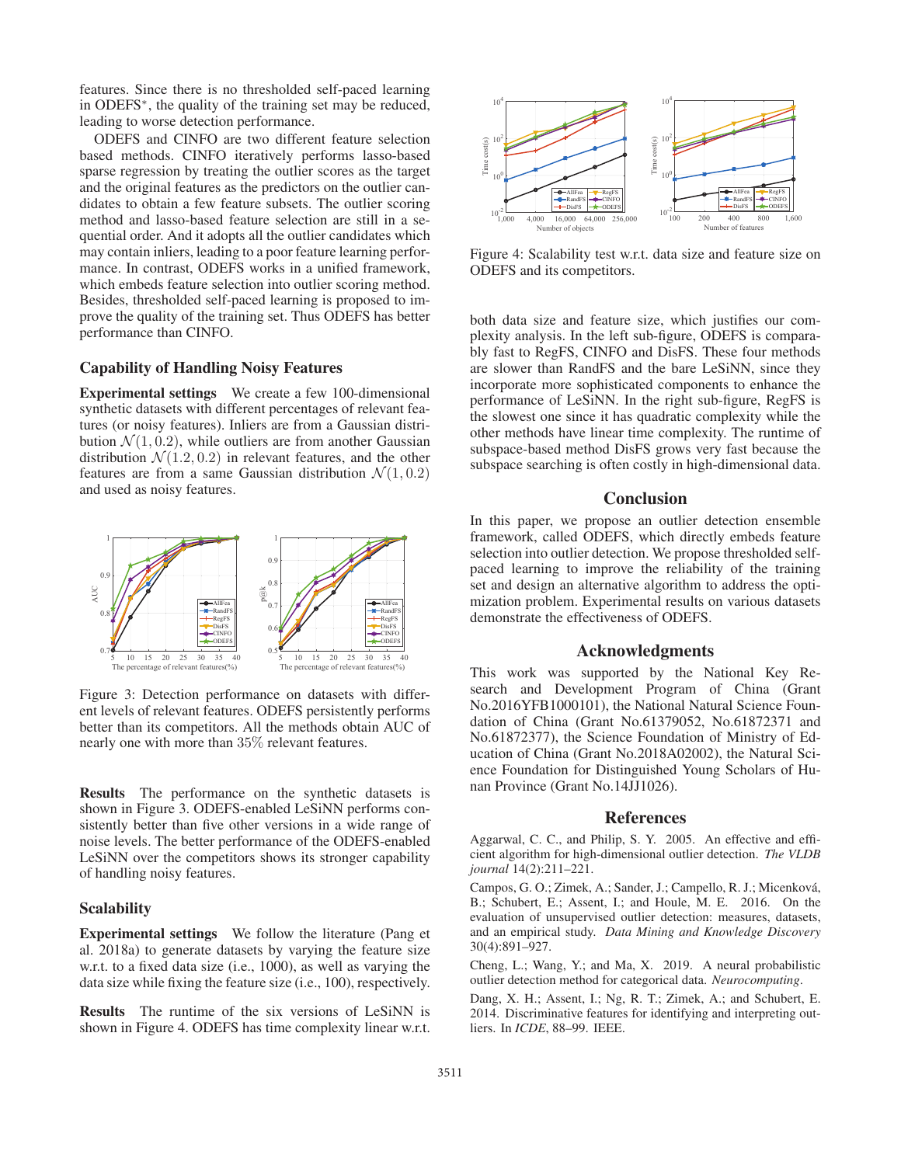features. Since there is no thresholded self-paced learning in ODEFS∗, the quality of the training set may be reduced, leading to worse detection performance.

ODEFS and CINFO are two different feature selection based methods. CINFO iteratively performs lasso-based sparse regression by treating the outlier scores as the target and the original features as the predictors on the outlier candidates to obtain a few feature subsets. The outlier scoring method and lasso-based feature selection are still in a sequential order. And it adopts all the outlier candidates which may contain inliers, leading to a poor feature learning performance. In contrast, ODEFS works in a unified framework, which embeds feature selection into outlier scoring method. Besides, thresholded self-paced learning is proposed to improve the quality of the training set. Thus ODEFS has better performance than CINFO.

# Capability of Handling Noisy Features

Experimental settings We create a few 100-dimensional synthetic datasets with different percentages of relevant features (or noisy features). Inliers are from a Gaussian distribution  $\mathcal{N}(1, 0.2)$ , while outliers are from another Gaussian distribution  $\mathcal{N}(1.2, 0.2)$  in relevant features, and the other features are from a same Gaussian distribution  $\mathcal{N}(1, 0.2)$ and used as noisy features.



Figure 3: Detection performance on datasets with different levels of relevant features. ODEFS persistently performs better than its competitors. All the methods obtain AUC of nearly one with more than 35% relevant features.

Results The performance on the synthetic datasets is shown in Figure 3. ODEFS-enabled LeSiNN performs consistently better than five other versions in a wide range of noise levels. The better performance of the ODEFS-enabled LeSiNN over the competitors shows its stronger capability of handling noisy features.

#### **Scalability**

Experimental settings We follow the literature (Pang et al. 2018a) to generate datasets by varying the feature size w.r.t. to a fixed data size (i.e., 1000), as well as varying the data size while fixing the feature size (i.e., 100), respectively.

Results The runtime of the six versions of LeSiNN is shown in Figure 4. ODEFS has time complexity linear w.r.t.



Figure 4: Scalability test w.r.t. data size and feature size on ODEFS and its competitors.

both data size and feature size, which justifies our complexity analysis. In the left sub-figure, ODEFS is comparably fast to RegFS, CINFO and DisFS. These four methods are slower than RandFS and the bare LeSiNN, since they incorporate more sophisticated components to enhance the performance of LeSiNN. In the right sub-figure, RegFS is the slowest one since it has quadratic complexity while the other methods have linear time complexity. The runtime of subspace-based method DisFS grows very fast because the subspace searching is often costly in high-dimensional data.

### **Conclusion**

In this paper, we propose an outlier detection ensemble framework, called ODEFS, which directly embeds feature selection into outlier detection. We propose thresholded selfpaced learning to improve the reliability of the training set and design an alternative algorithm to address the optimization problem. Experimental results on various datasets demonstrate the effectiveness of ODEFS.

# Acknowledgments

This work was supported by the National Key Research and Development Program of China (Grant No.2016YFB1000101), the National Natural Science Foundation of China (Grant No.61379052, No.61872371 and No.61872377), the Science Foundation of Ministry of Education of China (Grant No.2018A02002), the Natural Science Foundation for Distinguished Young Scholars of Hunan Province (Grant No.14JJ1026).

## References

Aggarwal, C. C., and Philip, S. Y. 2005. An effective and efficient algorithm for high-dimensional outlier detection. *The VLDB journal* 14(2):211–221.

Campos, G. O.; Zimek, A.; Sander, J.; Campello, R. J.; Micenková, B.; Schubert, E.; Assent, I.; and Houle, M. E. 2016. On the evaluation of unsupervised outlier detection: measures, datasets, and an empirical study. *Data Mining and Knowledge Discovery* 30(4):891–927.

Cheng, L.; Wang, Y.; and Ma, X. 2019. A neural probabilistic outlier detection method for categorical data. *Neurocomputing*.

Dang, X. H.; Assent, I.; Ng, R. T.; Zimek, A.; and Schubert, E. 2014. Discriminative features for identifying and interpreting outliers. In *ICDE*, 88–99. IEEE.